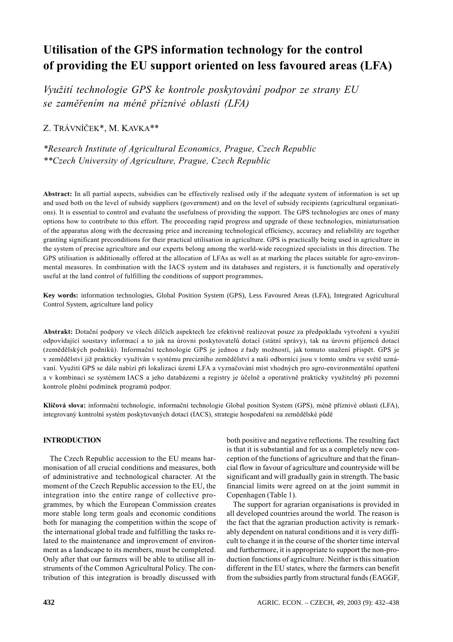# Utilisation of the GPS information technology for the control of providing the EU support oriented on less favoured areas (LFA)

Využití technologie GPS ke kontrole poskytování podpor ze strany EU se zaměřením na méně příznivé oblasti (LFA)

## Z. TRÁVNÍČEK\*, M. KAVKA\*\*

\*Research Institute of Agricultural Economics, Prague, Czech Republic \*\*Czech University of Agriculture, Prague, Czech Republic

Abstract: In all partial aspects, subsidies can be effectively realised only if the adequate system of information is set up and used both on the level of subsidy suppliers (government) and on the level of subsidy recipients (agricultural organisations). It is essential to control and evaluate the usefulness of providing the support. The GPS technologies are ones of many options how to contribute to this effort. The proceeding rapid progress and upgrade of these technologies, miniaturisation of the apparatus along with the decreasing price and increasing technological efficiency, accuracy and reliability are together granting significant preconditions for their practical utilisation in agriculture. GPS is practically being used in agriculture in the system of precise agriculture and our experts belong among the world-wide recognized specialists in this direction. The GPS utilisation is additionally offered at the allocation of LFAs as well as at marking the places suitable for agro-environmental measures. In combination with the IACS system and its databases and registers, it is functionally and operatively useful at the land control of fulfilling the conditions of support programmes.

Key words: information technologies, Global Position System (GPS), Less Favoured Areas (LFA), Integrated Agricultural Control System, agriculture land policy

Abstrakt: Dotační podpory ve všech dílčích aspektech lze efektivně realizovat pouze za předpokladu vytvoření a využití odpovídající soustavy informací a to jak na úrovni poskytovatelů dotací (státní správy), tak na úrovni příjemců dotací (zemědělských podniků). Informační technologie GPS je jednou z řady možností, jak tomuto snažení přispět. GPS je v zemědělství již prakticky využíván v systému precizního zemědělství a naši odborníci jsou v tomto směru ve světě uznávaní. Využití GPS se dále nabízí při lokalizaci území LFA a vyznačování míst vhodných pro agro-environmentální opatření a v kombinaci se systémem IACS a jeho databázemi a registry je účelně a operativně prakticky využitelný při pozemní kontrole plnění podmínek programů podpor.

Klíčová slova: informační technologie, informační technologie Global position System (GPS), méně příznivé oblasti (LFA), integrovaný kontrolní systém poskytovaných dotací (IACS), strategie hospodaření na zemědělské půdě

## **INTRODUCTION**

The Czech Republic accession to the EU means harmonisation of all crucial conditions and measures, both of administrative and technological character. At the moment of the Czech Republic accession to the EU, the integration into the entire range of collective programmes, by which the European Commission creates more stable long term goals and economic conditions both for managing the competition within the scope of the international global trade and fulfilling the tasks related to the maintenance and improvement of environment as a landscape to its members, must be completed. Only after that our farmers will be able to utilise all instruments of the Common Agricultural Policy. The contribution of this integration is broadly discussed with

both positive and negative reflections. The resulting fact is that it is substantial and for us a completely new conception of the functions of agriculture and that the financial flow in favour of agriculture and countryside will be significant and will gradually gain in strength. The basic financial limits were agreed on at the joint summit in Copenhagen (Table 1).

The support for agrarian organisations is provided in all developed countries around the world. The reason is the fact that the agrarian production activity is remarkably dependent on natural conditions and it is very difficult to change it in the course of the shorter time interval and furthermore, it is appropriate to support the non-production functions of agriculture. Neither is this situation different in the EU states, where the farmers can benefit from the subsidies partly from structural funds (EAGGF,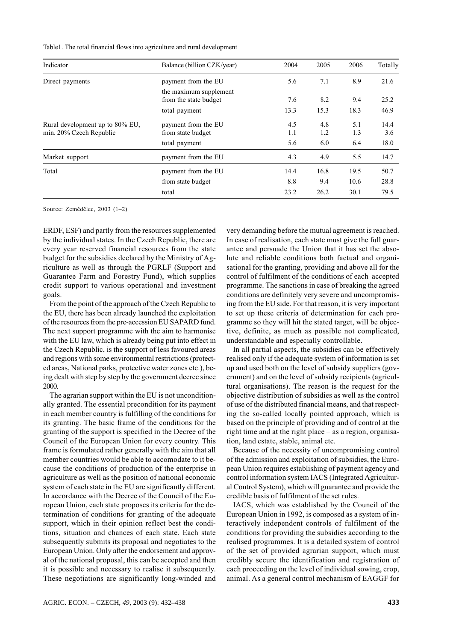Table1. The total financial flows into agriculture and rural development

| Indicator                       | Balance (billion CZK/year) | 2004 | 2005 | 2006 | Totally |
|---------------------------------|----------------------------|------|------|------|---------|
| Direct payments                 | payment from the EU        | 5.6  | 7.1  | 8.9  | 21.6    |
|                                 | the maximum supplement     |      |      |      |         |
|                                 | from the state budget      | 7.6  | 8.2  | 9.4  | 25.2    |
|                                 | total payment              | 13.3 | 15.3 | 18.3 | 46.9    |
| Rural development up to 80% EU, | payment from the EU        | 4.5  | 4.8  | 5.1  | 14.4    |
| min. 20% Czech Republic         | from state budget          | 1.1  | 1.2  | 1.3  | 3.6     |
|                                 | total payment              | 5.6  | 6.0  | 6.4  | 18.0    |
| Market support                  | payment from the EU        | 4.3  | 4.9  | 5.5  | 14.7    |
| Total                           | payment from the EU        | 14.4 | 16.8 | 19.5 | 50.7    |
|                                 | from state budget          | 8.8  | 9.4  | 10.6 | 28.8    |
|                                 | total                      | 23.2 | 26.2 | 30.1 | 79.5    |

Source: Zemědělec, 2003 (1-2)

ERDF, ESF) and partly from the resources supplemented by the individual states. In the Czech Republic, there are every year reserved financial resources from the state budget for the subsidies declared by the Ministry of Agriculture as well as through the PGRLF (Support and Guarantee Farm and Forestry Fund), which supplies credit support to various operational and investment goals.

From the point of the approach of the Czech Republic to the EU, there has been already launched the exploitation of the resources from the pre-accession EU SAPARD fund. The next support programme with the aim to harmonise with the EU law, which is already being put into effect in the Czech Republic, is the support of less favoured areas and regions with some environmental restrictions (protected areas, National parks, protective water zones etc.), being dealt with step by step by the government decree since 2000.

The agrarian support within the EU is not unconditionally granted. The essential precondition for its payment in each member country is fulfilling of the conditions for its granting. The basic frame of the conditions for the granting of the support is specified in the Decree of the Council of the European Union for every country. This frame is formulated rather generally with the aim that all member countries would be able to accomodate to it because the conditions of production of the enterprise in agriculture as well as the position of national economic system of each state in the EU are significantly different. In accordance with the Decree of the Council of the European Union, each state proposes its criteria for the determination of conditions for granting of the adequate support, which in their opinion reflect best the conditions, situation and chances of each state. Each state subsequently submits its proposal and negotiates to the European Union. Only after the endorsement and approval of the national proposal, this can be accepted and then it is possible and necessary to realise it subsequently. These negotiations are significantly long-winded and very demanding before the mutual agreement is reached. In case of realisation, each state must give the full guarantee and persuade the Union that it has set the absolute and reliable conditions both factual and organisational for the granting, providing and above all for the control of fulfilment of the conditions of each accepted programme. The sanctions in case of breaking the agreed conditions are definitely very severe and uncompromising from the EU side. For that reason, it is very important to set up these criteria of determination for each programme so they will hit the stated target, will be objective, definite, as much as possible not complicated, understandable and especially controllable.

In all partial aspects, the subsidies can be effectively realised only if the adequate system of information is set up and used both on the level of subsidy suppliers (government) and on the level of subsidy recipients (agricultural organisations). The reason is the request for the objective distribution of subsidies as well as the control of use of the distributed financial means, and that respecting the so-called locally pointed approach, which is based on the principle of providing and of control at the right time and at the right place – as a region, organisation, land estate, stable, animal etc.

Because of the necessity of uncompromising control of the admission and exploitation of subsidies, the European Union requires establishing of payment agency and control information system IACS (Integrated Agricultural Control System), which will guarantee and provide the credible basis of fulfilment of the set rules.

IACS, which was established by the Council of the European Union in 1992, is composed as a system of interactively independent controls of fulfilment of the conditions for providing the subsidies according to the realised programmes. It is a detailed system of control of the set of provided agrarian support, which must credibly secure the identification and registration of each proceeding on the level of individual sowing, crop, animal. As a general control mechanism of EAGGF for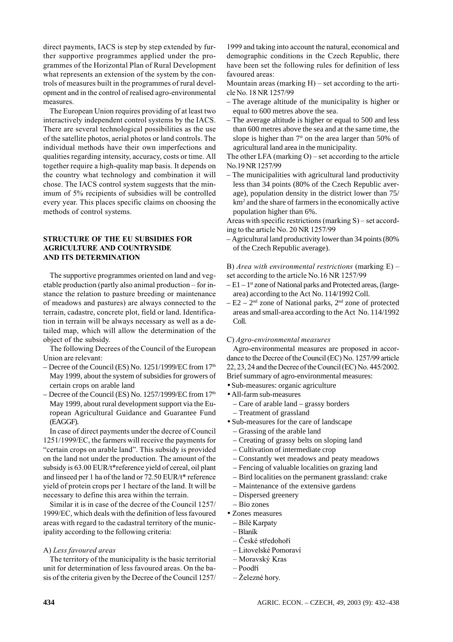direct payments, IACS is step by step extended by further supportive programmes applied under the programmes of the Horizontal Plan of Rural Development what represents an extension of the system by the controls of measures built in the programmes of rural development and in the control of realised agro-environmental measures.

The European Union requires providing of at least two interactively independent control systems by the IACS. There are several technological possibilities as the use of the satellite photos, aerial photos or land controls. The individual methods have their own imperfections and qualities regarding intensity, accuracy, costs or time. All together require a high-quality map basis. It depends on the country what technology and combination it will chose. The IACS control system suggests that the minimum of 5% recipients of subsidies will be controlled every year. This places specific claims on choosing the methods of control systems.

## STRUCTURE OF THE EU SUBSIDIES FOR AGRICULTURE AND COUNTRYSIDE AND ITS DETERMINATION

The supportive programmes oriented on land and vegetable production (partly also animal production – for instance the relation to pasture breeding or maintenance of meadows and pastures) are always connected to the terrain, cadastre, concrete plot, field or land. Identification in terrain will be always necessary as well as a detailed map, which will allow the determination of the object of the subsidy.

The following Decrees of the Council of the European Union are relevant:

- Decree of the Council (ES) No. 1251/1999/EC from  $17<sup>th</sup>$ May 1999, about the system of subsidies for growers of certain crops on arable land
- Decree of the Council (ES) No. 1257/1999/EC from  $17<sup>th</sup>$ May 1999, about rural development support via the European Agricultural Guidance and Guarantee Fund (EAGGF).

In case of direct payments under the decree of Council 1251/1999/EC, the farmers will receive the payments for "certain crops on arable land". This subsidy is provided on the land not under the production. The amount of the subsidy is 63.00 EUR/t\*reference yield of cereal, oil plant and linseed per 1 ha of the land or 72.50 EUR/t\* reference yield of protein crops per 1 hectare of the land. It will be necessary to define this area within the terrain.

Similar it is in case of the decree of the Council 1257/ 1999/EC, which deals with the definition of less favoured areas with regard to the cadastral territory of the municipality according to the following criteria:

#### A) Less favoured areas

The territory of the municipality is the basic territorial unit for determination of less favoured areas. On the basis of the criteria given by the Decree of the Council 1257/ 1999 and taking into account the natural, economical and demographic conditions in the Czech Republic, there have been set the following rules for definition of less favoured areas:

Mountain areas (marking  $H$ ) – set according to the article No. 18 NR 1257/99

- The average altitude of the municipality is higher or equal to 600 metres above the sea.
- The average altitude is higher or equal to 500 and less than 600 metres above the sea and at the same time, the slope is higher than 7° on the area larger than 50% of agricultural land area in the municipality.

The other LFA (marking  $O$ ) – set according to the article No.19 NR 1257/99

– The municipalities with agricultural land productivity less than 34 points (80% of the Czech Republic average), population density in the district lower than 75/ km<sup>2</sup> and the share of farmers in the economically active population higher than 6%.

Areas with specific restrictions (marking S) – set according to the article No. 20 NR 1257/99

– Agricultural land productivity lower than 34 points (80% of the Czech Republic average).

B) Area with environmental restrictions (marking  $E$ ) – set according to the article No.16 NR 1257/99

- $-E1-1$ <sup>st</sup> zone of National parks and Protected areas, (largearea) according to the Act No. 114/1992 Coll.
- $-E2 2<sup>nd</sup>$  zone of National parks,  $2<sup>nd</sup>$  zone of protected areas and small-area according to the Act No. 114/1992 Coll.

#### C) Agro-environmental measures

Agro-environmental measures are proposed in accordance to the Decree of the Council (EC) No. 1257/99 article  $22, 23, 24$  and the Decree of the Council (EC) No.  $445/2002$ . Brief summary of agro-environmental measures:

- Sub-measures: organic agriculture
- All-farm sub-measures
- Care of arable land grassy borders
- Treatment of grassland
- Sub-measures for the care of landscape
	- Grassing of the arable land
	- Creating of grassy belts on sloping land
	- Cultivation of intermediate crop
	- Constantly wet meadows and peaty meadows
	- Fencing of valuable localities on grazing land
	- Bird localities on the permanent grassland: crake
	- Maintenance of the extensive gardens
	- Dispersed greenery
	- Bio zones
- Zones measures
	- Bílé Karpaty
	- Blaník
	- České středohoří
	- Litovelské Pomoraví
	- Moravský Kras
	- Poodří
	- Železné hory.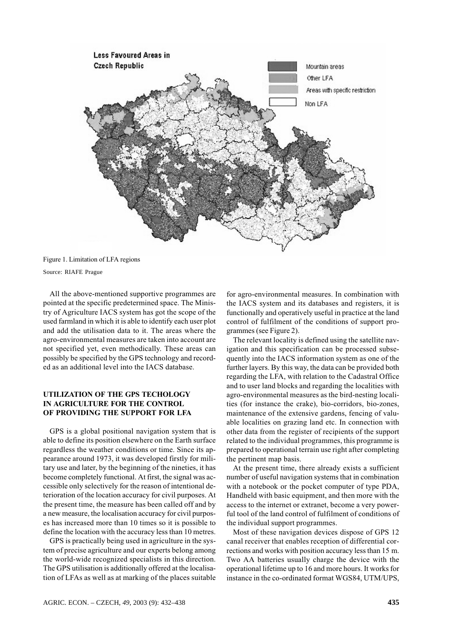

Figure 1. Limitation of LFA regions

Source: RIAFE Prague

All the above-mentioned supportive programmes are pointed at the specific predetermined space. The Ministry of Agriculture IACS system has got the scope of the used farmland in which it is able to identify each user plot and add the utilisation data to it. The areas where the agro-environmental measures are taken into account are not specified yet, even methodically. These areas can possibly be specified by the GPS technology and recorded as an additional level into the IACS database.

## UTILIZATION OF THE GPS TECHOLOGY IN AGRICULTURE FOR THE CONTROL OF PROVIDING THE SUPPORT FOR LFA

GPS is a global positional navigation system that is able to define its position elsewhere on the Earth surface regardless the weather conditions or time. Since its appearance around 1973, it was developed firstly for military use and later, by the beginning of the nineties, it has become completely functional. At first, the signal was accessible only selectively for the reason of intentional deterioration of the location accuracy for civil purposes. At the present time, the measure has been called off and by a new measure, the localisation accuracy for civil purposes has increased more than 10 times so it is possible to define the location with the accuracy less than 10 metres.

GPS is practically being used in agriculture in the system of precise agriculture and our experts belong among the world-wide recognized specialists in this direction. The GPS utilisation is additionally offered at the localisation of LFAs as well as at marking of the places suitable for agro-environmental measures. In combination with the IACS system and its databases and registers, it is functionally and operatively useful in practice at the land control of fulfilment of the conditions of support programmes (see Figure 2).

The relevant locality is defined using the satellite navigation and this specification can be processed subsequently into the IACS information system as one of the further layers. By this way, the data can be provided both regarding the LFA, with relation to the Cadastral Office and to user land blocks and regarding the localities with agro-environmental measures as the bird-nesting localities (for instance the crake), bio-corridors, bio-zones, maintenance of the extensive gardens, fencing of valuable localities on grazing land etc. In connection with other data from the register of recipients of the support related to the individual programmes, this programme is prepared to operational terrain use right after completing the pertinent map basis.

At the present time, there already exists a sufficient number of useful navigation systems that in combination with a notebook or the pocket computer of type PDA, Handheld with basic equipment, and then more with the access to the internet or extranet, become a very powerful tool of the land control of fulfilment of conditions of the individual support programmes.

Most of these navigation devices dispose of GPS 12 canal receiver that enables reception of differential corrections and works with position accuracy less than 15 m. Two AA batteries usually charge the device with the operational lifetime up to 16 and more hours. It works for instance in the co-ordinated format WGS84, UTM/UPS.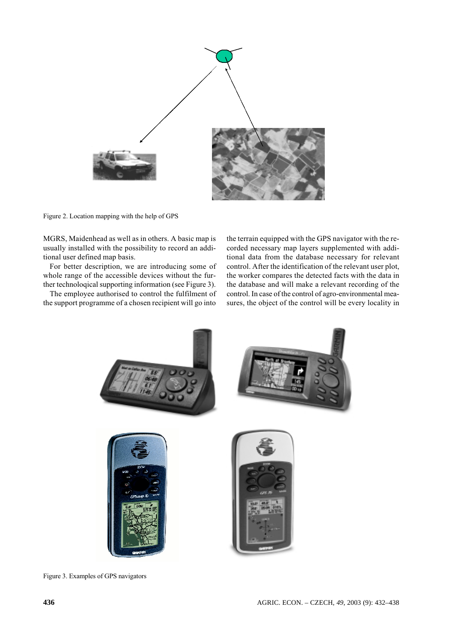

Figure 2. Location mapping with the help of GPS

MGRS, Maidenhead as well as in others. A basic map is usually installed with the possibility to record an additional user defined map basis.

For better description, we are introducing some of whole range of the accessible devices without the further technological supporting information (see Figure 3).

The employee authorised to control the fulfilment of the support programme of a chosen recipient will go into the terrain equipped with the GPS navigator with the recorded necessary map layers supplemented with additional data from the database necessary for relevant control. After the identification of the relevant user plot, the worker compares the detected facts with the data in the database and will make a relevant recording of the control. In case of the control of agro-environmental measures, the object of the control will be every locality in



Figure 3. Examples of GPS navigators

AGRIC. ECON. - CZECH, 49, 2003 (9): 432-438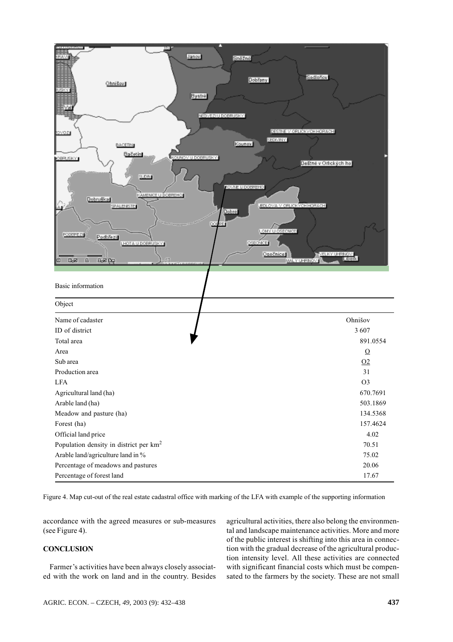

Figure 4. Map cut-out of the real estate cadastral office with marking of the LFA with example of the supporting information

accordance with the agreed measures or sub-measures (see Figure 4).

## **CONCLUSION**

Farmer's activities have been always closely associated with the work on land and in the country. Besides agricultural activities, there also belong the environmental and landscape maintenance activities. More and more of the public interest is shifting into this area in connection with the gradual decrease of the agricultural production intensity level. All these activities are connected with significant financial costs which must be compensated to the farmers by the society. These are not small